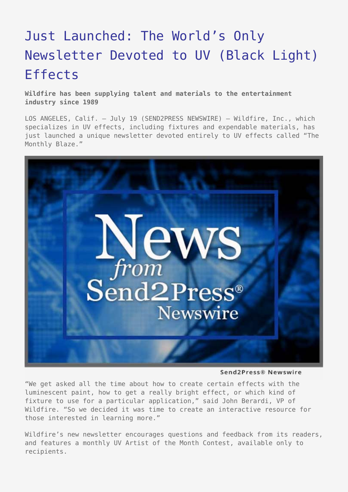## [Just Launched: The World's Only](https://www.send2press.com/wire/2007-07-0719-002/) [Newsletter Devoted to UV \(Black Light\)](https://www.send2press.com/wire/2007-07-0719-002/) [Effects](https://www.send2press.com/wire/2007-07-0719-002/)

**Wildfire has been supplying talent and materials to the entertainment industry since 1989**

LOS ANGELES, Calif. – July 19 (SEND2PRESS NEWSWIRE) — Wildfire, Inc., which specializes in UV effects, including fixtures and expendable materials, has just launched a unique newsletter devoted entirely to UV effects called "The Monthly Blaze."



Send2Press® Newswire

"We get asked all the time about how to create certain effects with the luminescent paint, how to get a really bright effect, or which kind of fixture to use for a particular application," said John Berardi, VP of Wildfire. "So we decided it was time to create an interactive resource for those interested in learning more."

Wildfire's new newsletter encourages questions and feedback from its readers, and features a monthly UV Artist of the Month Contest, available only to recipients.